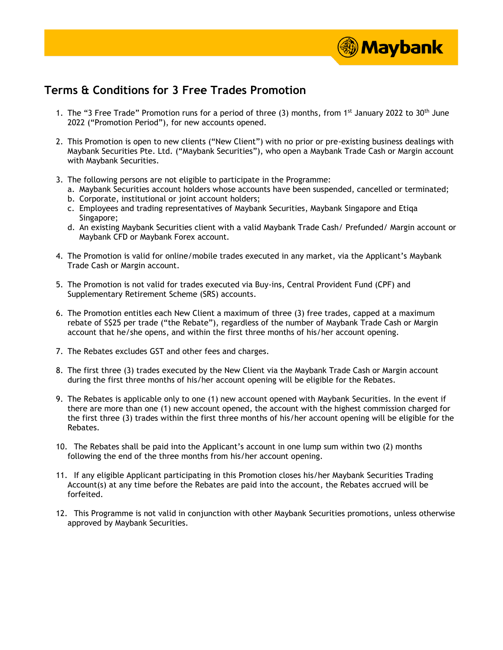

## **Terms & Conditions for 3 Free Trades Promotion**

- 1. The "3 Free Trade" Promotion runs for a period of three (3) months, from 1<sup>st</sup> January 2022 to 30<sup>th</sup> June 2022 ("Promotion Period"), for new accounts opened.
- 2. This Promotion is open to new clients ("New Client") with no prior or pre-existing business dealings with Maybank Securities Pte. Ltd. ("Maybank Securities"), who open a Maybank Trade Cash or Margin account with Maybank Securities.
- 3. The following persons are not eligible to participate in the Programme:
	- a. Maybank Securities account holders whose accounts have been suspended, cancelled or terminated;
	- b. Corporate, institutional or joint account holders;
	- c. Employees and trading representatives of Maybank Securities, Maybank Singapore and Etiqa Singapore;
	- d. An existing Maybank Securities client with a valid Maybank Trade Cash/ Prefunded/ Margin account or Maybank CFD or Maybank Forex account.
- 4. The Promotion is valid for online/mobile trades executed in any market, via the Applicant's Maybank Trade Cash or Margin account.
- 5. The Promotion is not valid for trades executed via Buy-ins, Central Provident Fund (CPF) and Supplementary Retirement Scheme (SRS) accounts.
- 6. The Promotion entitles each New Client a maximum of three (3) free trades, capped at a maximum rebate of S\$25 per trade ("the Rebate"), regardless of the number of Maybank Trade Cash or Margin account that he/she opens, and within the first three months of his/her account opening.
- 7. The Rebates excludes GST and other fees and charges.
- 8. The first three (3) trades executed by the New Client via the Maybank Trade Cash or Margin account during the first three months of his/her account opening will be eligible for the Rebates.
- 9. The Rebates is applicable only to one (1) new account opened with Maybank Securities. In the event if there are more than one (1) new account opened, the account with the highest commission charged for the first three (3) trades within the first three months of his/her account opening will be eligible for the Rebates.
- 10. The Rebates shall be paid into the Applicant's account in one lump sum within two (2) months following the end of the three months from his/her account opening.
- 11. If any eligible Applicant participating in this Promotion closes his/her Maybank Securities Trading Account(s) at any time before the Rebates are paid into the account, the Rebates accrued will be forfeited.
- 12. This Programme is not valid in conjunction with other Maybank Securities promotions, unless otherwise approved by Maybank Securities.